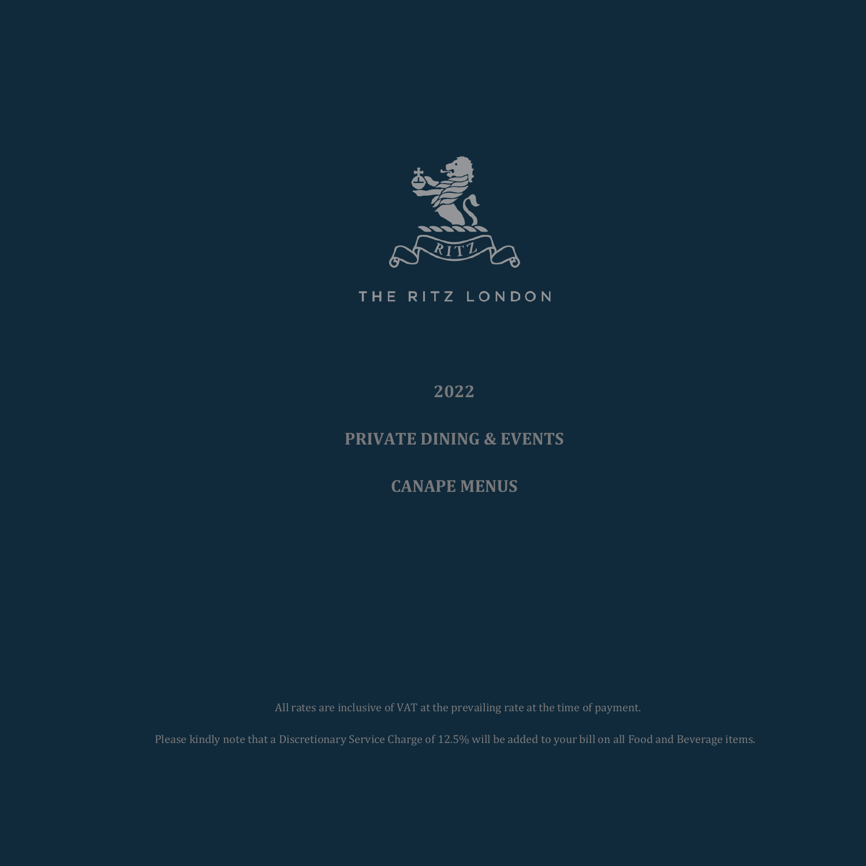

THE RITZ LONDON

**2022**

## **PRIVATE DINING & EVENTS**

**CANAPE MENUS**

Please kindly note that a Discretionary Service Charge of 12.5% will be added to your bill on all Food and Beverage items.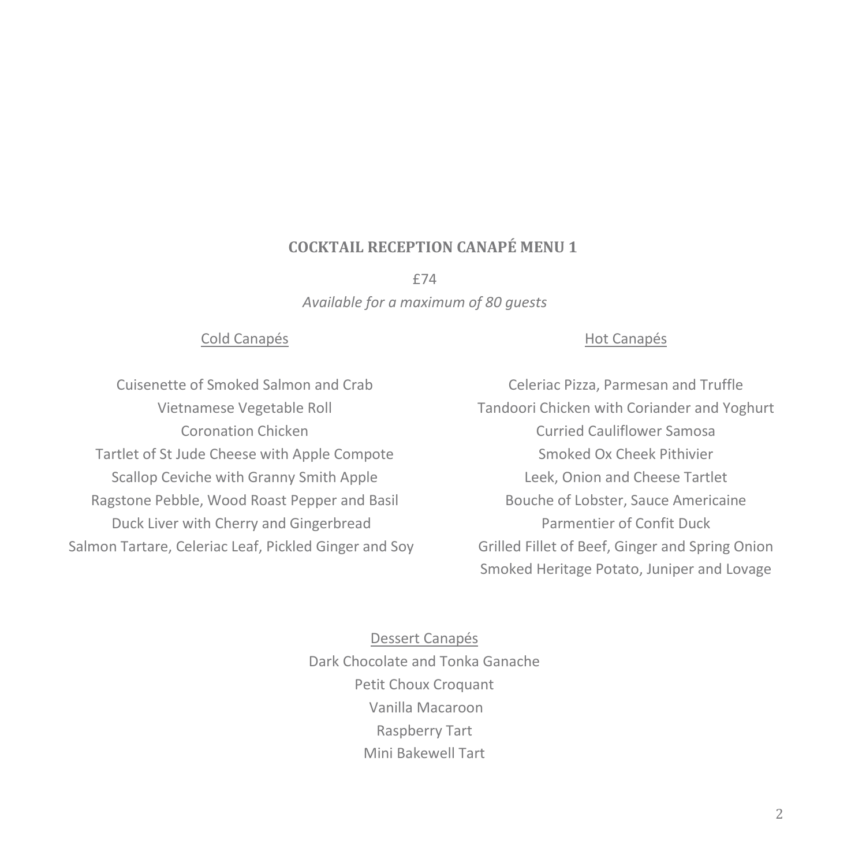## **COCKTAIL RECEPTION CANAPÉ MENU 1**

£74

*Available for a maximum of 80 guests*

#### Cold Canapés

## Hot Canapés

Cuisenette of Smoked Salmon and Crab Vietnamese Vegetable Roll Coronation Chicken Tartlet of St Jude Cheese with Apple Compote Scallop Ceviche with Granny Smith Apple Ragstone Pebble, Wood Roast Pepper and Basil Duck Liver with Cherry and Gingerbread Salmon Tartare, Celeriac Leaf, Pickled Ginger and Soy

Celeriac Pizza, Parmesan and Truffle Tandoori Chicken with Coriander and Yoghurt Curried Cauliflower Samosa Smoked Ox Cheek Pithivier Leek, Onion and Cheese Tartlet Bouche of Lobster, Sauce Americaine Parmentier of Confit Duck Grilled Fillet of Beef, Ginger and Spring Onion Smoked Heritage Potato, Juniper and Lovage

Dessert Canapés Dark Chocolate and Tonka Ganache Petit Choux Croquant Vanilla Macaroon Raspberry Tart Mini Bakewell Tart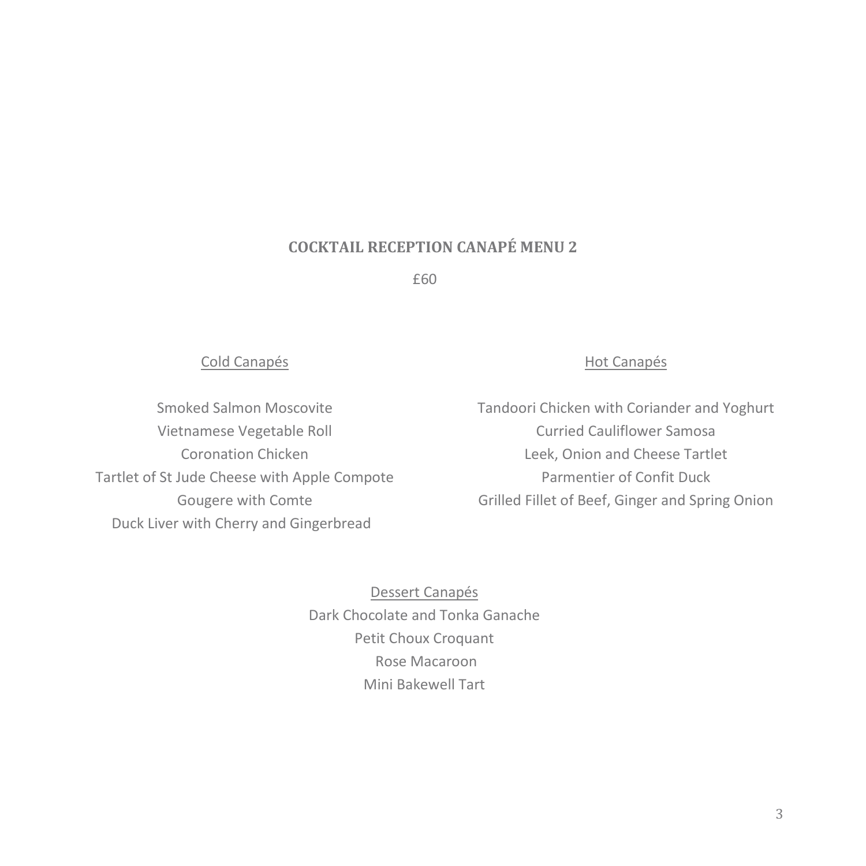## **COCKTAIL RECEPTION CANAPÉ MENU 2**

£60

#### Cold Canapés

Smoked Salmon Moscovite Vietnamese Vegetable Roll Coronation Chicken Tartlet of St Jude Cheese with Apple Compote Gougere with Comte Duck Liver with Cherry and Gingerbread

### Hot Canapés

Tandoori Chicken with Coriander and Yoghurt Curried Cauliflower Samosa Leek, Onion and Cheese Tartlet Parmentier of Confit Duck Grilled Fillet of Beef, Ginger and Spring Onion

Dessert Canapés Dark Chocolate and Tonka Ganache Petit Choux Croquant Rose Macaroon Mini Bakewell Tart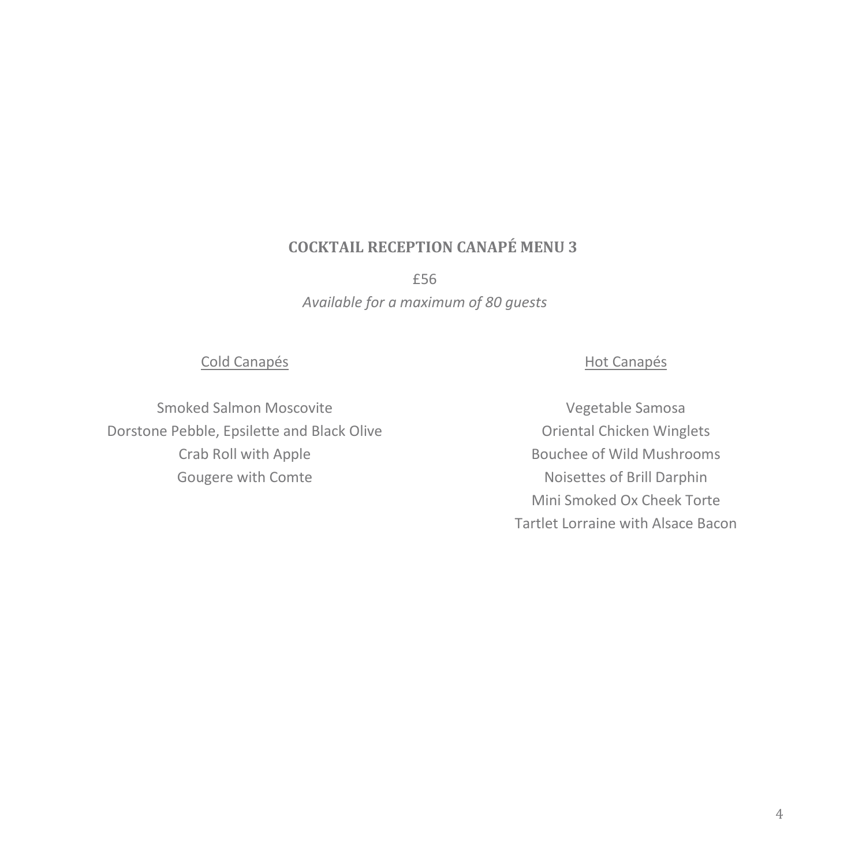# **COCKTAIL RECEPTION CANAPÉ MENU 3**

£56

*Available for a maximum of 80 guests*

#### Cold Canapés

Smoked Salmon Moscovite Dorstone Pebble, Epsilette and Black Olive Crab Roll with Apple Gougere with Comte

### Hot Canapés

Vegetable Samosa Oriental Chicken Winglets Bouchee of Wild Mushrooms Noisettes of Brill Darphin Mini Smoked Ox Cheek Torte Tartlet Lorraine with Alsace Bacon